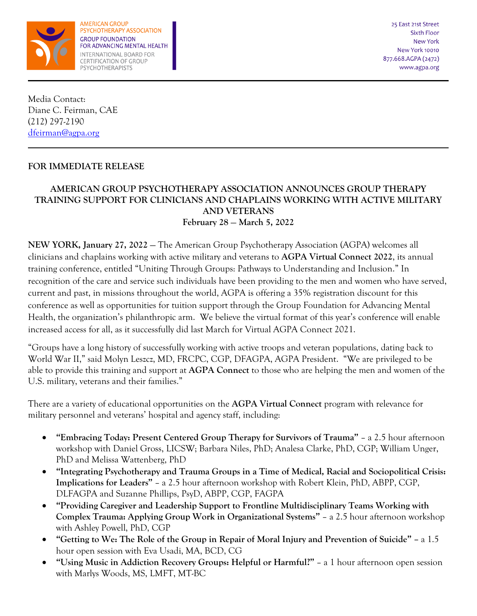

**AMERICAN GROUP** PSYCHOTHERAPY ASSOCIATION **GROUP FOUNDATION** FOR ADVANCING MENTAL HEALTH INTERNATIONAL BOARD FOR CERTIFICATION OF GROUP PSYCHOTHERAPISTS

Media Contact: Diane C. Feirman, CAE (212) 297-2190 [dfeirman@agpa.org](mailto:dfeirman@agpa.org)

## **FOR IMMEDIATE RELEASE**

## **AMERICAN GROUP PSYCHOTHERAPY ASSOCIATION ANNOUNCES GROUP THERAPY TRAINING SUPPORT FOR CLINICIANS AND CHAPLAINS WORKING WITH ACTIVE MILITARY AND VETERANS February 28** — **March 5, 2022**

**NEW YORK, January 27, 2022** — The American Group Psychotherapy Association (AGPA) welcomes all clinicians and chaplains working with active military and veterans to **AGPA Virtual Connect 2022**, its annual training conference, entitled "Uniting Through Groups: Pathways to Understanding and Inclusion." In recognition of the care and service such individuals have been providing to the men and women who have served, current and past, in missions throughout the world, AGPA is offering a 35% registration discount for this conference as well as opportunities for tuition support through the Group Foundation for Advancing Mental Health, the organization's philanthropic arm. We believe the virtual format of this year's conference will enable increased access for all, as it successfully did last March for Virtual AGPA Connect 2021.

"Groups have a long history of successfully working with active troops and veteran populations, dating back to World War II," said Molyn Leszcz, MD, FRCPC, CGP, DFAGPA, AGPA President. "We are privileged to be able to provide this training and support at **AGPA Connect** to those who are helping the men and women of the U.S. military, veterans and their families."

There are a variety of educational opportunities on the **AGPA Virtual Connect** program with relevance for military personnel and veterans' hospital and agency staff, including:

- **"Embracing Today: Present Centered Group Therapy for Survivors of Trauma"**  a 2.5 hour afternoon workshop with Daniel Gross, LICSW; Barbara Niles, PhD; Analesa Clarke, PhD, CGP; William Unger, PhD and Melissa Wattenberg, PhD
- **"Integrating Psychotherapy and Trauma Groups in a Time of Medical, Racial and Sociopolitical Crisis: Implications for Leaders"** – a 2.5 hour afternoon workshop with Robert Klein, PhD, ABPP, CGP, DLFAGPA and Suzanne Phillips, PsyD, ABPP, CGP, FAGPA
- **"Providing Caregiver and Leadership Support to Frontline Multidisciplinary Teams Working with Complex Trauma: Applying Group Work in Organizational Systems"** – a 2.5 hour afternoon workshop with Ashley Powell, PhD, CGP
- **"Getting to We: The Role of the Group in Repair of Moral Injury and Prevention of Suicide" –** a 1.5 hour open session with Eva Usadi, MA, BCD, CG
- **"Using Music in Addiction Recovery Groups: Helpful or Harmful?"**  a 1 hour afternoon open session with Marlys Woods, MS, LMFT, MT-BC